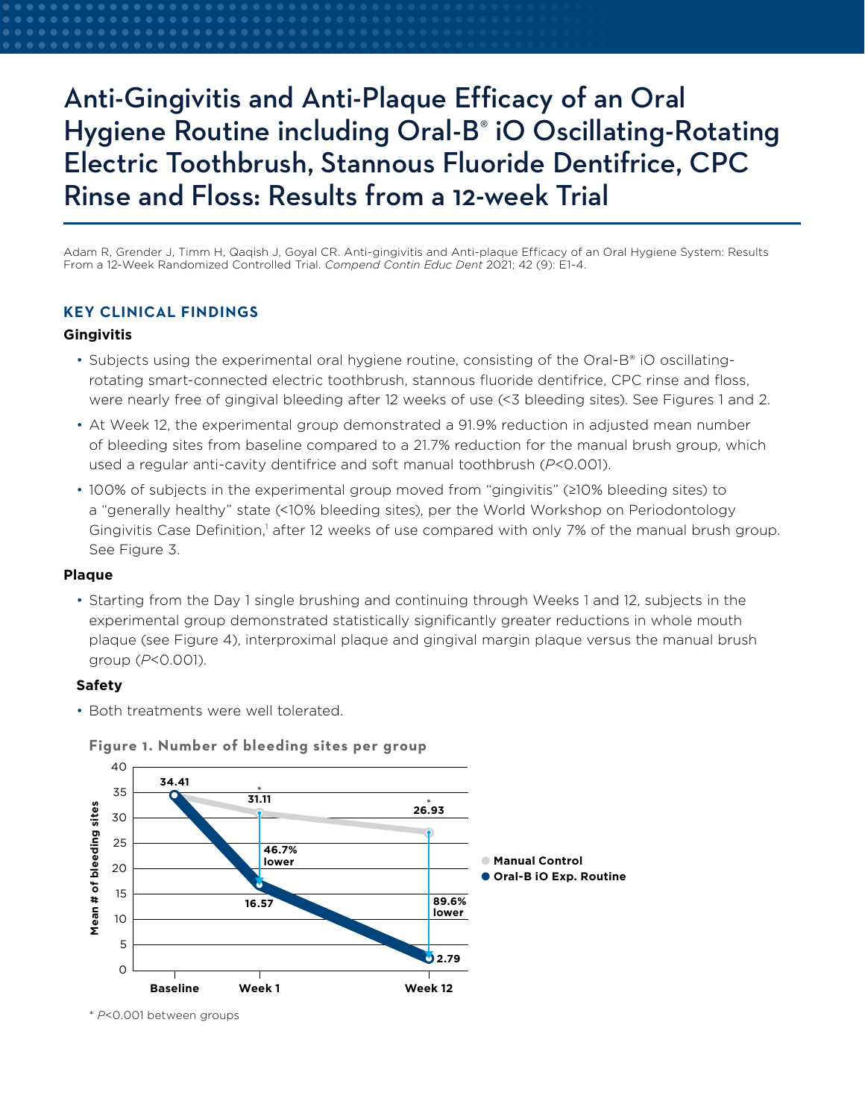# Anti-Gingivitis and Anti-Plaque Efficacy of an Oral Hygiene Routine including Oral-B® iO Oscillating-Rotating Electric Toothbrush, Stannous Fluoride Dentifrice, CPC Rinse and Floss: Results from a 12-week Trial

Adam R, Grender J, Timm H, Qaqish J, Goyal CR. Anti-gingivitis and Anti-plaque Efficacy of an Oral Hygiene System: Results From a 12-Week Randomized Controlled Trial. *Compend Contin Educ Dent* 2021; 42 (9): E1-4.

## **KEY CLINICAL FINDINGS**

#### **Gingivitis**

- Subjects using the experimental oral hygiene routine, consisting of the Oral-B® iO oscillatingrotating smart-connected electric toothbrush, stannous fluoride dentifrice, CPC rinse and floss, were nearly free of gingival bleeding after 12 weeks of use (<3 bleeding sites). See Figures 1 and 2.
- At Week 12, the experimental group demonstrated a 91.9% reduction in adjusted mean number of bleeding sites from baseline compared to a 21.7% reduction for the manual brush group, which used a regular anti-cavity dentifrice and soft manual toothbrush (*P*<0.001).
- 100% of subjects in the experimental group moved from "gingivitis" (≥10% bleeding sites) to a "generally healthy" state (<10% bleeding sites), per the World Workshop on Periodontology Gingivitis Case Definition,<sup>1</sup> after 12 weeks of use compared with only 7% of the manual brush group. See Figure 3.

### **Plaque**

• Starting from the Day 1 single brushing and continuing through Weeks 1 and 12, subjects in the experimental group demonstrated statistically significantly greater reductions in whole mouth plaque (see Figure 4), interproximal plaque and gingival margin plaque versus the manual brush group (*P*<0.001).

#### **Safety**

• Both treatments were well tolerated





<sup>\*</sup> *P*<0.001 between groups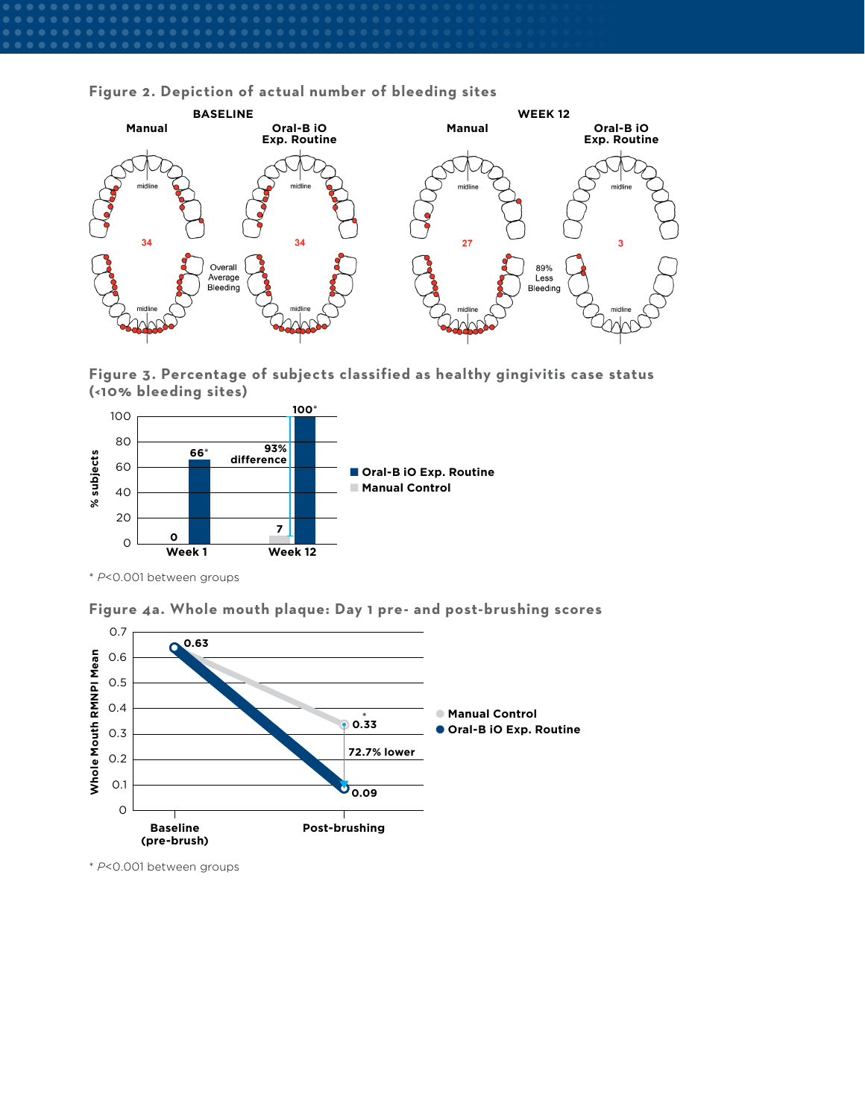**Figure 2. Depiction of actual number of bleeding sites**



**Figure 3. Percentage of subjects classified as healthy gingivitis case status (<10% bleeding sites)**



\* *P*<0.001 between groups



**Figure 4a. Whole mouth plaque: Day 1 pre- and post-brushing scores**

\* *P*<0.001 between groups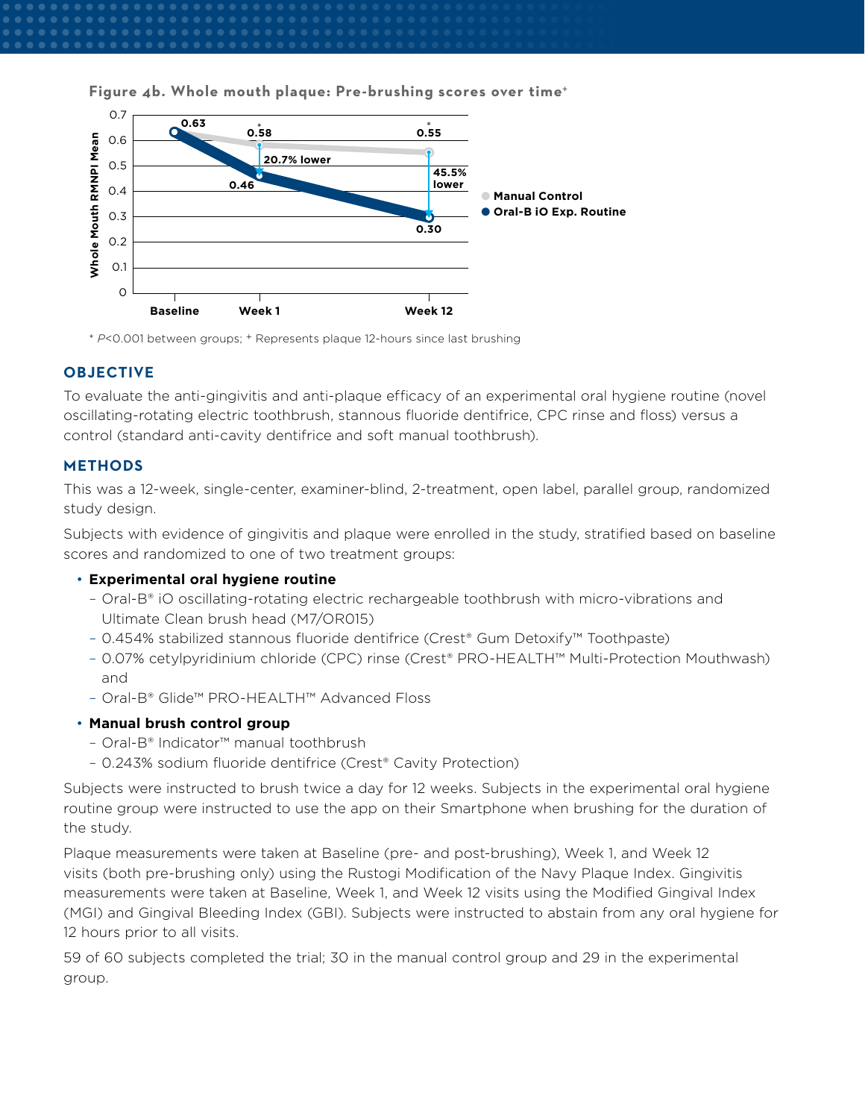



\* *P*<0.001 between groups; + Represents plaque 12-hours since last brushing

# **OBJECTIVE**

To evaluate the anti-gingivitis and anti-plaque efficacy of an experimental oral hygiene routine (novel oscillating-rotating electric toothbrush, stannous fluoride dentifrice, CPC rinse and floss) versus a control (standard anti-cavity dentifrice and soft manual toothbrush).

# **METHODS**

This was a 12-week, single-center, examiner-blind, 2-treatment, open label, parallel group, randomized study design.

Subjects with evidence of gingivitis and plaque were enrolled in the study, stratified based on baseline scores and randomized to one of two treatment groups:

## • **Experimental oral hygiene routine**

- Oral-B® iO oscillating-rotating electric rechargeable toothbrush with micro-vibrations and Ultimate Clean brush head (M7/OR015)
- 0.454% stabilized stannous fluoride dentifrice (Crest® Gum Detoxify™ Toothpaste)
- 0.07% cetylpyridinium chloride (CPC) rinse (Crest® PRO-HEALTH™ Multi-Protection Mouthwash) and
- Oral-B® Glide™ PRO-HEALTH™ Advanced Floss

# • **Manual brush control group**

- Oral-B® Indicator™ manual toothbrush
- 0.243% sodium fluoride dentifrice (Crest® Cavity Protection)

Subjects were instructed to brush twice a day for 12 weeks. Subjects in the experimental oral hygiene routine group were instructed to use the app on their Smartphone when brushing for the duration of the study.

Plaque measurements were taken at Baseline (pre- and post-brushing), Week 1, and Week 12 visits (both pre-brushing only) using the Rustogi Modification of the Navy Plaque Index. Gingivitis measurements were taken at Baseline, Week 1, and Week 12 visits using the Modified Gingival Index (MGI) and Gingival Bleeding Index (GBI). Subjects were instructed to abstain from any oral hygiene for 12 hours prior to all visits.

59 of 60 subjects completed the trial; 30 in the manual control group and 29 in the experimental group.